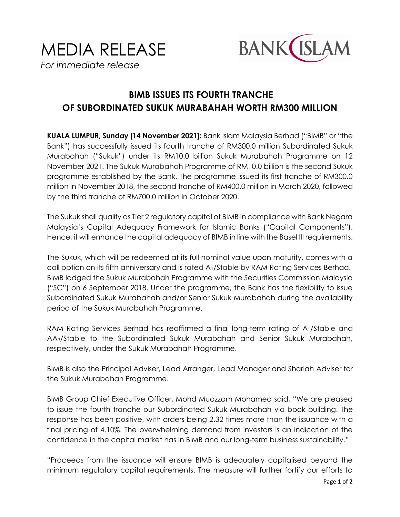



## **BIMB ISSUES ITS FOURTH TRANCHE OF SUBORDINATED SUKUK MURABAHAH WORTH RM300 MILLION**

**KUALA LUMPUR, Sunday [14 November 2021]:** Bank Islam Malaysia Berhad ("BIMB" or "the Bank") has successfully issued its fourth tranche of RM300.0 million Subordinated Sukuk Murabahah ("Sukuk") under its RM10.0 billion Sukuk Murabahah Programme on 12 November 2021. The Sukuk Murabahah Programme of RM10.0 billion is the second Sukuk programme established by the Bank. The programme issued its first tranche of RM300.0 million in November 2018, the second tranche of RM400.0 million in March 2020, followed by the third tranche of RM700.0 million in October 2020.

The Sukuk shall qualify as Tier 2 regulatory capital of BIMB in compliance with Bank Negara Malaysia's Capital Adequacy Framework for Islamic Banks ("Capital Components"). Hence, it will enhance the capital adequacy of BIMB in line with the Basel III requirements.

The Sukuk, which will be redeemed at its full nominal value upon maturity, comes with a call option on its fifth anniversary and is rated A1/Stable by RAM Rating Services Berhad. BIMB lodged the Sukuk Murabahah Programme with the Securities Commission Malaysia ("SC") on 6 September 2018. Under the programme, the Bank has the flexibility to issue Subordinated Sukuk Murabahah and/or Senior Sukuk Murabahah during the availability period of the Sukuk Murabahah Programme.

RAM Rating Services Berhad has reaffirmed a final long-term rating of A<sub>1</sub>/Stable and AA3/Stable to the Subordinated Sukuk Murabahah and Senior Sukuk Murabahah, respectively, under the Sukuk Murabahah Programme.

BIMB is also the Principal Adviser, Lead Arranger, Lead Manager and Shariah Adviser for the Sukuk Murabahah Programme.

BIMB Group Chief Executive Officer, Mohd Muazzam Mohamed said, "We are pleased to issue the fourth tranche our Subordinated Sukuk Murabahah via book building. The response has been positive, with orders being 2.32 times more than the issuance with a final pricing of 4.10%. The overwhelming demand from investors is an indication of the confidence in the capital market has in BIMB and our long-term business sustainability."

"Proceeds from the issuance will ensure BIMB is adequately capitalised beyond the minimum regulatory capital requirements. The measure will further fortify our efforts to